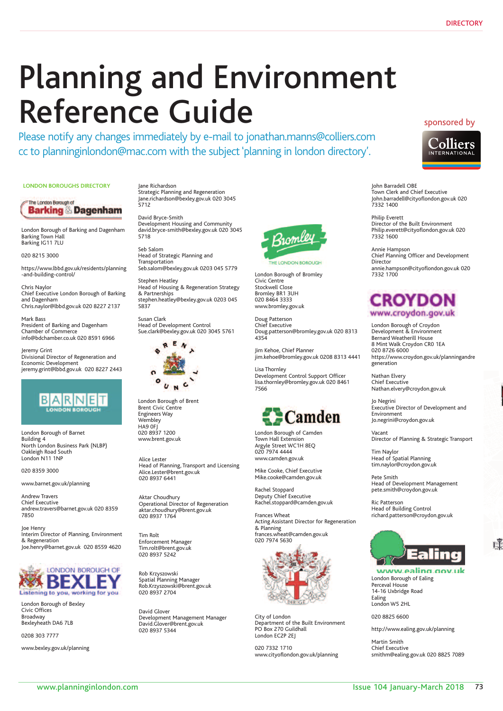# Planning and Environment Reference Guide

Please notify any changes immediately by e-mail to jonathan.manns@colliers.com cc to planninginlondon@mac.com with the subject 'planning in london directory'.

**LONDON BOROUGHS DIRECTORY**

The London Borough of **Barking & Dagenham** 

London Borough of Barking and Dagenham Barking Town Hall Barking IG11 7LU

020 8215 3000

https://www.lbbd.gov.uk/residents/planning -and-building-control/

Chris Naylor Chief Executive London Borough of Barking and Dagenham Chris.naylor@lbbd.gov.uk 020 8227 2137

Mark Bass President of Barking and Dagenham Chamber of Commerce info@bdchamber.co.uk 020 8591 6966

Jeremy Grint Divisional Director of Regeneration and Economic Development jeremy.grint@lbbd.gov.uk 020 8227 2443



London Borough of Barnet Building 4 North London Business Park (NLBP) Oakleigh Road South London N11 1NP

020 8359 3000

www.barnet.gov.uk/planning

Andrew Travers Chief Executive andrew.travers@barnet.gov.uk 020 8359 7850

Joe Henry Interim Director of Planning, Environment & Regeneration Joe.henry@barnet.gov.uk 020 8559 4620



London Borough of Bexley Civic Offices Broadway Bexleyheath DA6 7LB

0208 303 7777

www.bexley.gov.uk/planning

Jane Richardson Strategic Planning and Regeneration Jane.richardson@bexley.gov.uk 020 3045 5712

David Bryce-Smith Development Housing and Community david.bryce-smith@bexley.gov.uk 020 3045 5718

Seb Salom Head of Strategic Planning and Transportation Seb.salom@bexley.gov.uk 0203 045 5779

Stephen Heatley Head of Housing & Regeneration Strategy & Partnerships stephen.heatley@bexley.gov.uk 0203 045 5837

Susan Clark Head of Development Control Sue.clark@bexley.gov.uk 020 3045 5761



London Borough of Brent Brent Civic Centre Engineers Way Wembley HA9 0FJ 020 8937 1200 www.brent.gov.uk

Alice Lester Head of Planning, Transport and Licensing Alice.Lester@brent.gov.uk 020 8937 6441

Aktar Choudhury aktar.choudhury@brent.gov.uk 020 8937 1764 Operational Director of Regeneration

Tim Rolt Enforcement Manager Tim.rolt@brent.gov.uk 020 8937 5242

Rob Krzyszowski Spatial Planning Manager 8937 5228 Rob.Krzyszowski@brent.gov.uk 020 8937 2704

David Glover. David.Glover@brent.gov.uk 020 8937 5344 Development Management Manager



London Borough of Bromley Civic Centre Stockwell Close Bromley BR1 3UH 020 8464 3333 www.bromley.gov.uk

Doug Patterson Chief Executive Doug.patterson@bromley.gov.uk 020 8313 4354

Jim Kehoe, Chief Planner jim.kehoe@bromley.gov.uk 0208 8313 4441

Lisa Thornley Development Control Support Officer lisa.thornley@bromley.gov.uk 020 8461 7566



London Borough of Camden Town Hall Extension Argyle Street WC1H 8EQ 020 7974 4444 www.camden.gov.uk

Mike Cooke, Chief Executive Mike.cooke@camden.gov.uk

Rachel Stoppard Deputy Chief Executive Rachel.stoppard@camden.gov.uk

Frances Wheat Acting Assistant Director for Regeneration & Planning frances.wheat@camden.gov.uk 020 7974 5630



City of London Department of the Built Environment PO Box 270 Guildhall London EC2P 2EJ

020 7332 1710 www.cityoflondon.gov.uk/planning

## sponsored by



John Barradell OBE Town Clerk and Chief Executive John.barradell@cityoflondon.gov.uk 020 7332 1400

Philip Everett Director of the Built Environment Philip.everett@cityoflondon.gov.uk 020 7332 1600

Annie Hampson Chief Planning Officer and Development Director annie.hampson@cityoflondon.gov.uk 020 7332 1700

# **CROYDON** www.croydon.gov.uk

London Borough of Croydon Development & Environment Bernard Weatherill House 8 Mint Walk Croydon CR0 1EA 020 8726 6000 https://www.croydon.gov.uk/planningandre generation

Nathan Elvery<br>Chief Executive<br>Nathan.elvery@croydon.gov.uk Nathan Elvery Chief Executive

Future of London Executive Director of Development and Jo Negrini Environment Jo.negrini@croydon.gov.uk

Vacant Director of Planning & Strategic Transport

Tim Naylor Head of Spatial Planning tim.naylor@croydon.gov.uk

**If you want to help want to help promote the debate on the smith** Head of Development Management As a member you get **priority booking** and **discounted rates** for our **walks**, **talks**, **debates** pete.smith@croydon.gov.uk

buildings (some not generally open to the public) on our **tours**. There will be opportunities to attend Ric Patterson **Head of Building Control** richard.patterson@croydon.gov.uk

And if you join now we'll send you a **FREE** copy of



www.ealing.gov.uk London Borough of Ealing Perceval House 14-16 Uxbridge Road Ealing London W5 2HL

020 8825 6600

http://www.ealing.gov.uk/planning

Martin Smith Chief Executive smithm@ealing.gov.uk 020 8825 7089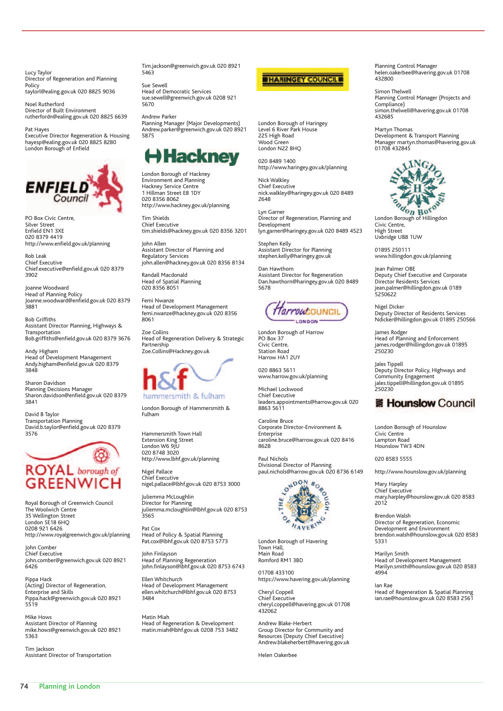Lucy Taylor Director of Regeneration and Planning Policy taylorl@ealing.gov.uk 020 8825 9036

Noel Rutherford Director of Built Environment rutherfordn@ealing.gov.uk 020 8825 6639

Pat Hayes Executive Director Regeneration & Housing hayesp@ealing.gov.uk 020 8825 8280 London Borough of Enfield



PO Box Civic Centre, Silver Street Enfield EN1 3XE 020 8379 4419 http://www.enfield.gov.uk/planning

Rob Leak Chief Executive Chief.executive@enfield.gov.uk 020 8379 3902

Joanne Woodward Head of Planning Policy Joanne.woodward@enfield.gov.uk 020 8379 3881

Bob Griffiths Assistant Director Planning, Highways & Transportation Bob.griffiths@enfield.gov.uk 020 8379 3676

Andy Higham Head of Development Management Andy.higham@enfield.gov.uk 020 8379 3848

Sharon Davidson Planning Decisions Manager Sharon.davidson@enfield.gov.uk 020 8379 3841

David B Taylor Transportation Planning David.b.taylor@enfield.gov.uk 020 8379 3576



Royal Borough of Greenwich Council The Woolwich Centre 35 Wellington Street London SE18 6HQ 0208 921 6426 http://www.royalgreenwich.gov.uk/planning

John Comber Chief Executive John.comber@greenwich.gov.uk 020 8921 6426

Pippa Hack (Acting) Director of Regeneration, Enterprise and Skills Pippa.hack@greenwich.gov.uk 020 8921 5519

Mike Hows Assistant Director of Planning mike.hows@greenwich.gov.uk 020 8921 5363

Tim Jackson Assistant Director of Transportation

Tim.jackson@greenwich.gov.uk 020 8921 5463

Sue Sewell Head of Democratic Services sue.sewell@greenwich.gov.uk 0208 921 5670

Andrew Parker Planning Manager (Major Developments) Andrew.parker@greenwich.gov.uk 020 8921 5875

# H Hackney

London Borough of Hackney Environment and Planning Hackney Service Centre 1 Hillman Street E8 1DY 020 8356 8062 http://www.hackney.gov.uk/planning

Tim Shields Chief Executive tim.shields@hackney.gov.uk 020 8356 3201

John Allen Assistant Director of Planning and Regulatory Services john.allen@hackney.gov.uk 020 8356 8134

Randall Macdonald Head of Spatial Planning 020 8356 8051

Femi Nwanze Head of Development Management femi.nwanze@hackney.gov.uk 020 8356 8061

Zoe Collins Head of Regeneration Delivery & Strategic Partnership Zoe.Collins@Hackney.gov.uk



London Borough of Hammersmith & Fulham

Hammersmith Town Hall Extension King Street London W6 9JU 020 8748 3020 http://www.lbhf.gov.uk/planning

Nigel Pallace Chief Executive nigel.pallace@lbhf.gov.uk 020 8753 3000

Juliemma McLoughlin Director for Planning juliemma.mcloughlin@lbhf.gov.uk 020 8753  $3565$ 

Pat Cox Head of Policy & Spatial Planning Pat.cox@lbhf.gov.uk 020 8753 5773

John Finlayson Head of Planning Regeneration John.finlayson@lbhf.gov.uk 020 8753 6743

Ellen Whitchurch Head of Development Management ellen.whitchurch@lbhf.gov.uk 020 8753 3484

Matin Miah Head of Regeneration & Development matin.miah@lbhf.gov.uk 0208 753 3482



London Borough of Haringey Level 6 River Park House 225 High Road Wood Green London N22 8HQ

020 8489 1400 http://www.haringey.gov.uk/planning

Nick Walkley Chief Executive nick.walkley@haringey.gov.uk 020 8489 2648

Lyn Garner Director of Regeneration, Planning and Development lyn.garner@haringey.gov.uk 020 8489 4523

Stephen Kelly Assistant Director for Planning stephen.kelly@haringey.gov.uk

Dan Hawthorn Assistant Director for Regeneration Dan.hawthorn@haringey.gov.uk 020 8489 5678



London Borough of Harrow PO Box 37 Civic Centre, Station Road Harrow HA1 2UY

020 8863 5611 www.harrow.gov.uk/planning

Michael Lockwood Chief Executive leaders.appointments@harrow.gov.uk 020 8863 5611

Caroline Bruce Corporate Director-Environment & **Enterprise** caroline.bruce@harrow.gov.uk 020 8416 8628

Paul Nichols Divisional Director of Planning



London Borough of Havering Town Hall, Main Road Romford RM1 3BD

01708 433100 https://www.havering.gov.uk/planning

Cheryl Coppell Chief Executive cheryl.coppell@havering.gov.uk 01708 432062

Andrew Blake-Herbert Group Director for Community and Resources (Deputy Chief Executive) Andrew.blakeherbert@havering.gov.uk

Helen Oakerbee

Planning Control Manager helen.oakerbee@havering.gov.uk 01708 432800

Simon Thelwell Planning Control Manager (Projects and Compliance) simon.thelwell@havering.gov.uk 01708 432685

Martyn Thomas Development & Transport Planning Manager martyn.thomas@havering.gov.uk 01708 432845



Civic Centre, High Street Uxbridge UB8 1UW

01895 250111 www.hillingdon.gov.uk/planning

Jean Palmer OBE Deputy Chief Executive and Corporate Director Residents Services jean.palmer@hillingdon.gov.uk 0189 5250622

Nigel Dicker Deputy Director of Residents Services Ndicker@hillingdon.gov.uk 01895 250566

James Rodger Head of Planning and Enforcement james.rodger@hillingdon.gov.uk 01895 250230

Jales Tippell Deputy Director Policy, Highways and Community Engagement jales.tippell@hillingdon.gov.uk 01895 250230

# *'* **Hounslow Council**

London Borough of Hounslow Civic Centre Lampton Road Hounslow TW3 4DN

020 8583 5555

http://www.hounslow.gov.uk/planning

Mary Harpley Chief Executive mary.harpley@hounslow.gov.uk 020 8583 2012

Brendon Walsh Director of Regeneration, Economic Development and Environment brendon.walsh@hounslow.gov.uk 020 8583 5331

Marilyn Smith Head of Development Management Marilyn.smith@hounslow.gov.uk 020 8583 4994

Ian Rae Head of Regeneration & Spatial Planning ian.rae@hounslow.gov.uk 020 8583 2561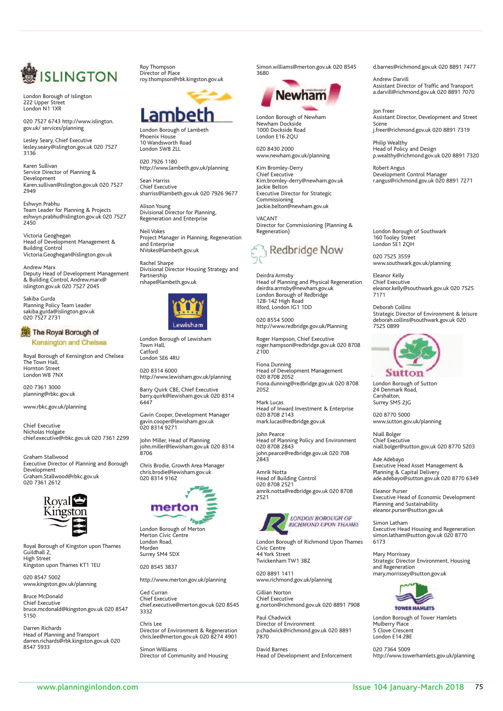

London Borough of Islington London Borough of Islington 222 Upper Street 222 Upper Street London N1 1XR London N1 1XR

020 7527 6743 http://www.islington. 020 7527 6743 http://www.islington. gov.uk/ services/planning gov.uk/ services/planning

Lesley Seary, Chief Executive lesley.seary@islington.gov.uk 020 7527 lesley.seary@islington.gov.uk 020 7527 3136 3136 Lesley Seary, Chief Executive

Karen Sullivan Karen Sullivan Service Director of Planning & Service Director of Planning & Development Karen.sullivan@islington.gov.uk 020 7527 Karen.sullivan@islington.gov.uk 020 7527 2949 2949 Development

Eshwyn Prabhu Eshwyn Prabhu Team Leader for Planning & Projects Team Leader for Planning & Projects eshwyn.prabhu@islington.gov.uk 020 7527 eshwyn.prabhu@islington.gov.uk 020 7527 2450 2450

ictoria Geoghegan<br>ead of Development Management & Building Control Building Control Victoria.Geoghegan@islington.gov.uk Victoria.Geoghegan@islington.gov.uk Victoria Geoghegan Head of Development Management &

Andrew Marx Deputy Head of Development Management Deputy Head of Development Management & Building Control, Andrew.marx@ & Building Control, Andrew.marx@ islington.gov.uk 020 7527 2045 islington.gov.uk 020 7527 2045 Andrew Marx

Sakiba Gurda Sakiba Gurda Planning Policy Team Leader Planning Policy Team Leader sakiba.gurda@islington.gov.uk sakiba.gurda@islington.gov.uk 020 7527 2731 020 7527 2731

### The Royal Borough of

Kensington and Chelsea

Royal Borough of Kensington and Chelsea Royal Borough of Kensington and Chelsea The Town Hall, The Town Hall, Hornton Street London W8 7NX London W8 7NX Hornton Street

020 7361 3000<br>planning@rbkc.gov.uk 020 7361 3000

www.rbkc.gov.uk/planning

chief.executive@rbkc.gov.uk 020 7361 22999 Nicholas Holgate<br>chief.executive@rbkc.gov.uk 020 7361 2299 Chief Executive Nicholas Holgate

Graham.Stallwood@rbkc.gov.uk 020 7361 2612 Graham Stallwood Development<br>Graham.Stallwood@rbkc.gov.uk 020 7361 2612 Executive Director of Planning and Borough Development



Royal Borough of Kingston upon Thames Royal Borough of Kingston upon Thames Guildhall 2, Guildhall 2, High Street High Street

Kingston upon Thames KT1 1EU Kingston upon Thames KT1 1EU 020 8547 5002 020 8547 5002 www.kingston.gov.uk/planning www.kingston.gov.uk/planning

Bruce McDonald Bruce McDonald Chief Executive Chief Executive bruce.mcdonald@kingston.gov.uk 020 8547 bruce.mcdonald@kingston.gov.uk 020 8547 5150 5150

Darren Richards Darren Richards Head of Planning and Transport Head of Planning and Transport darren.richards@rbk.kingston.gov.uk 020 darren.richards@rbk.kingston.gov.uk 020 8547 5933 8547 5933

Roy Thompson Roy Thompson Director of Place Director of Place roy.thompson@rbk.kingston.gov.uk roy.thompson@rbk.kingston.gov.uk



London Borough of Lambeth London Borough of Lambeth Phoenix House 10 Wandsworth Road 10 Wandsworth Road London SW8 2LL London SW8 2LL Phoenix House

020 7926 1180 020 7926 1180 http://www.lambeth.gov.uk/planning http://www.lambeth.gov.uk/planning

Sean Harriss Sean Harriss Chief Executive Chief Executive sharriss@lambeth.gov.uk 020 7926 9677 sharriss@lambeth.gov.uk 020 7926 9677

Alison Young Alison Young Divisional Director for Planning, Divisional Director for Planning, Regeneration and Enterprise Regeneration and Enterprise

Neil Vokes Neil Vokes Project Manager in Planning, Regeneration Project Manager in Planning, Regeneration and Enterprise and Enterprise NVokes@lambeth.gov.uk NVokes@lambeth.gov.uk

Rachel Sharpe Rachel Sharpe Divisional Director Housing Strategy and Divisional Director Housing Strategy and

Partnership Partnership rshape@lambeth.gov.uk rshape@lambeth.gov.uk



London Borough of Lewisham London Borough of Lewisham Town Hall, Town Hall, Catford London SE6 4RU London SE6 4RU Catford

020 8314 6000 http://www.lewisham.gov.uk/planning http://www.lewisham.gov.uk/planning 020 8314 6000

Barry Quirk CBE, Chief Executive Barry Quirk CBE, Chief Executive barry.quirk@lewisham.gov.uk 020 8314 barry.quirk@lewisham.gov.uk 020 8314 6447 6447

Gavin Cooper, Development Manager Gavin Cooper, Development Manager gavin.cooper@lewisham.gov.uk gavin.cooper@lewisham.gov.uk 020 8314 9271 020 8314 9271

John Miller, Head of Planning John Miller, Head of Planning john.miller@lewisham.gov.uk 020 8314 john.miller@lewisham.gov.uk 020 8314 8706 8706

Chris Brodie, Growth Area Manager Chris Brodie, Growth Area Manager chris.brodie@lewisham.gov.uk 020 8314 chris.brodie@lewisham.gov.uk 9162 020 8314 9162



London Borough of Merton London Borough of Merton Merton Civic Centre Merton Civic Centre London Road, London Road, Morden Surrey SM4 5DX Surrey SM4 5DX Morden

020 8545 3837 020 8545 3837

http://www.merton.gov.uk/planning http://www.merton.gov.uk/planning

Ged Curran Ged Curran Chief Executive chief.executive@merton.gov.uk 020 8545 chief.executive@merton.gov.uk 020 8545 3332 3332 Chief Executive

Chris Lee Chris Lee Director of Environment & Regeneration Director of Environment & Regeneration chris.lee@merton.gov.uk 020 8274 4901 chris.lee@merton.gov.uk 020 8274 4901

Simon Williams Simon Williams Director of Community and Housing Director of Community and Housing Simon.williams@merton.gov.uk 020 8545 Simon.williams@merton.gov.uk 020 8545 3680 3680



London Borough of Newham London Borough of Newham Newham Dockside Newham Dockside 1000 Dockside Road 1000 Dockside Road London E16 2QU London E16 2QU

020 8430 2000 020 8430 2000 www.newham.gov.uk/planning www.newham.gov.uk/planning

Kim Bromley-Derry Kim Bromley-Derry Chief Executive Chief Executive Kim.bromley-derry@newham.gov.uk Kim.bromley-derry@newham.gov.uk Jackie Belton Jackie Belton Executive Director for Strategic Executive Director for Strategic ommissioning<br>ickie.belton@newham.gov.uk Commissioning Jackie.belton@newham.gov.uk

VACANT Director for Commissioning (Planning & Director for Commissioning (Planning & Regeneration) Regeneration)



Deirdra Armsby Head of Planning and Physical Regeneration Head of Planning and Physical Regeneration deirdra.armsby@newham.gov.uk deirdra.armsby@newham.gov.uk ondon Borough of Redbridge<br>28-142 High Road<br>-Ilford, London IG1 1DD Ilford, London IG1 1DD Deirdra Armsby London Borough of Redbridge 128-142 High Road

020 8554 5000 020 8554 5000 http://www.redbridge.gov.uk/Planning http://www.redbridge.gov.uk/Planning

Roger Hampson, Chief Executive Roger Hampson, Chief Executive roger.hampson@redbridge.gov.uk 020 8708 roger.hampson@redbridge.gov.uk 020 8708 2100 2100

Fiona Dunning Fiona Dunning Head of Development Management Head of Development Management 020 8708 2052 Fiona.dunning@redbridge.gov.uk 020 8708 Fiona.dunning@redbridge.gov.uk 020 8708 2052 2052 020 8708 2052

Mark Lucas Mark Lucas Head of Inward Investment & Enterprise Head of Inward Investment & Enterprise 020 8708 2143 020 8708 2143 mark.lucas@redbridge.gov.uk mark.lucas@redbridge.gov.uk

John Pearce John Pearce Head of Planning Policy and Environment Head of Planning Policy and Environment 020 8708 2843 john.pearce@redbridge.gov.uk 020 708 john.pearce@redbridge.gov.uk 020 708 2843 2843 020 8708 2843

Amrik Notta Head of Building Control Head of Building Control 020 8708 2521 020 8708 2521 amrik.notta@redbridge.gov.uk 020 8708 amrik.notta@redbridge.gov.uk 020 8708 2521 2521 Amrik Notta



London Borough of Richmond Upon Thames London Borough of Richmond Upon Thames Civic Centre Civic Centre 44 York Street 44 York Street Twickenham TW1 3BZ Twickenham TW1 3BZ

020 8891 1411 020 8891 1411 www.richmond.gov.uk/planning www.richmond.gov.uk/planning

Gillian Norton Gillian Norton Chief Executive Chief Executive g.norton@richmond.gov.uk 020 8891 7908 g.norton@richmond.gov.uk 020 8891 7908

Paul Chadwick Paul Chadwick Director of Environment Director of Environment p.chadwick@richmond.gov.uk 020 8891 p.chadwick@richmond.gov.uk 020 8891 7870 7870

David Barnes David Barnes Head of Development and Enforcement Head of Development and Enforcement d.barnes@richmond.gov.uk 020 8891 7477 d.barnes@richmond.gov.uk 020 8891 7477

Andrew Darvill Andrew Darvill Assistant Director of Traffic and Transport Assistant Director of Traffic and Transport a.darvill@richmond.gov.uk 020 8891 7070 a.darvill@richmond.gov.uk 020 8891 7070

Jon Freer Jon Freer Assistant Director, Development and Street Assistant Director, Development and Street

Scene Scene j.freer@richmond.gov.uk 020 8891 7319 j.freer@richmond.gov.uk 020 8891 7319

Philip Wealthy Philip Wealthy Head of Policy and Design Head of Policy and Design p.wealthy@richmond.gov.uk 020 8891 7320 p.wealthy@richmond.gov.uk 020 8891 7320

Robert Angus Robert Angus Development Control Manager Development Control Manager r.angus@richmond.gov.uk 020 8891 7271 r.angus@richmond.gov.uk 020 8891 7271

London Borough of Southwark 60 Tooley Street<br>ondon SE1 2QH 160 Tooley Street London SE1 2QH

020 7525 3559 www.southwark.gov.uk/planning www.southwark.gov.uk/planning 020 7525 3559

Eleanor Kelly Chief Executive Chief Executive eleanor.kelly@southwark.gov.uk 020 7525 eleanor.kelly@southwark.gov.uk 020 7525 7171 7171 Eleanor Kelly

Deborah Collins Deborah Collins trategic Director of Environment & leisure<br>eborah.collins@southwark.gov.uk 020 7525 0899 7525 0899 Strategic Director of Environment & leisure deborah.collins@southwark.gov.uk 020



London Borough of Sutton London Borough of Sutton 24 Denmark Road, 24 Denmark Road, Carshalton, Surrey SM5 2JG Surrey SM5 2JG Carshalton,

020 8770 5000 020 8770 5000 www.sutton.gov.uk/planning www.sutton.gov.uk/planning

Niall Bolger Niall Bolger Chief Executive Chief Executive niall.bolger@sutton.gov.uk 020 8770 5203 niall.bolger@sutton.gov.uk 020 8770 5203

Ade Adebayo Ade Adebayo Executive Head Asset Management & Executive Head Asset Management & Planning & Capital Delivery ade.adebayo@sutton.gov.uk 020 8770 6349 ade.adebayo@sutton.gov.uk 020 8770 6349 Planning & Capital Delivery

Eleanor Purser Eleanor Purser Executive Head of Economic Development Executive Head of Economic Development lanning and Sustainability<br>leanor.purser@sutton.gov.uk Planning and Sustainability eleanor.purser@sutton.gov.uk

Simon Latham Executive Head Housing and Regeneration Executive Head Housing and Regeneration simon.latham@sutton.gov.uk 020 8770 simon.latham@sutton.gov.uk 020 8770 6173 6173 Simon Latham

Mary Morrissey Mary Morrissey Strategic Director Environment, Housing Strategic Director Environment, Housing and Regeneration and Regeneration mary.morrissey@sutton.gov.uk mary.morrissey@sutton.gov.uk



London Borough of Tower Hamlets London Borough of Tower Hamlets Mulberry Place Mulberry Place 5 Clove Crescent 5 Clove Crescent London E14 2BE London E14 2BE

020 7364 5009 020 7364 5009 http://www.towerhamlets.gov.uk/planning http://www.towerhamlets.gov.uk/planning